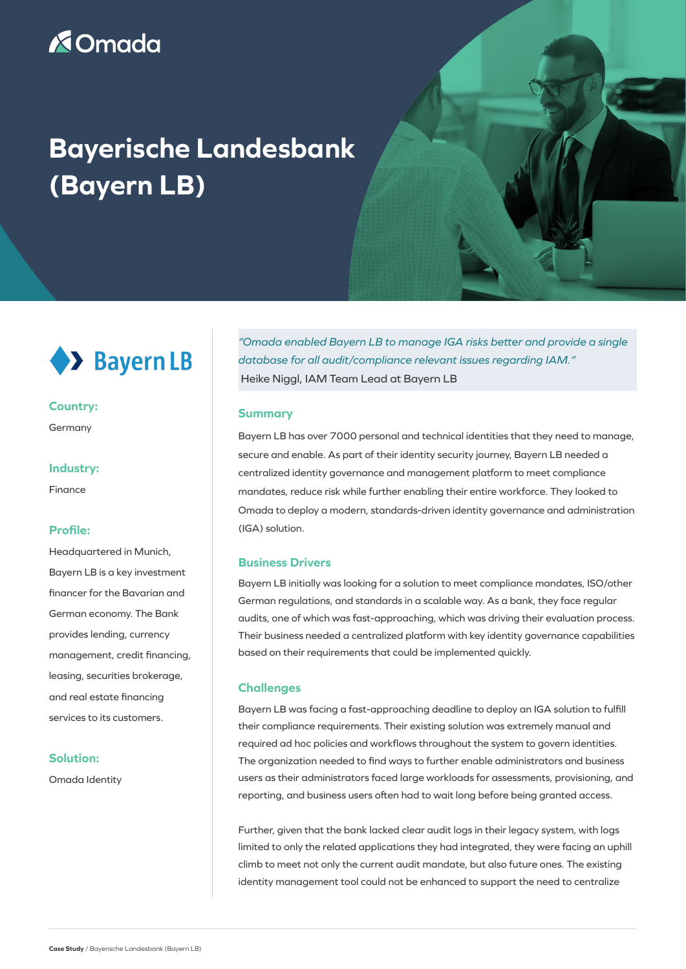# **X**Omada

# **Bayerische Landesbank (Bayern LB)**



## **Country:**

Germany

#### **Industry:**

Finance

## **Profile:**

Headquartered in Munich, Bayern LB is a key investment financer for the Bavarian and German economy. The Bank provides lending, currency management, credit financing, leasing, securities brokerage, and real estate financing services to its customers.

# **Solution:**

Omada Identity

*"Omada enabled Bayern LB to manage IGA risks better and provide a single database for all audit/compliance relevant issues regarding IAM."* Heike Niggl, IAM Team Lead at Bayern LB

#### **Summary**

Bayern LB has over 7000 personal and technical identities that they need to manage, secure and enable. As part of their identity security journey, Bayern LB needed a centralized identity governance and management platform to meet compliance mandates, reduce risk while further enabling their entire workforce. They looked to Omada to deploy a modern, standards-driven identity governance and administration (IGA) solution.

# **Business Drivers**

Bayern LB initially was looking for a solution to meet compliance mandates, ISO/other German regulations, and standards in a scalable way. As a bank, they face regular audits, one of which was fast-approaching, which was driving their evaluation process. Their business needed a centralized platform with key identity governance capabilities based on their requirements that could be implemented quickly.

#### **Challenges**

Bayern LB was facing a fast-approaching deadline to deploy an IGA solution to fulfill their compliance requirements. Their existing solution was extremely manual and required ad hoc policies and workflows throughout the system to govern identities. The organization needed to find ways to further enable administrators and business users as their administrators faced large workloads for assessments, provisioning, and reporting, and business users often had to wait long before being granted access.

Further, given that the bank lacked clear audit logs in their legacy system, with logs limited to only the related applications they had integrated, they were facing an uphill climb to meet not only the current audit mandate, but also future ones. The existing identity management tool could not be enhanced to support the need to centralize